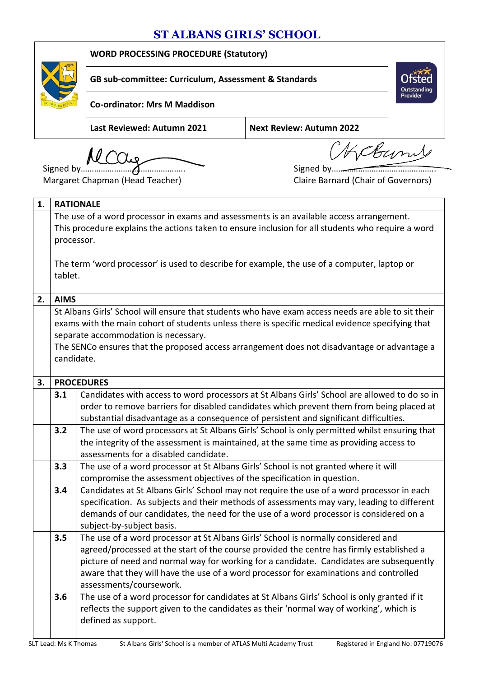## **ST ALBANS GIRLS' SCHOOL**



**WORD PROCESSING PROCEDURE (Statutory)**

**GB sub-committee: Curriculum, Assessment & Standards**

**Co-ordinator: Mrs M Maddison** 

**Last Reviewed: Autumn 2021 Next Review: Autumn 2022**

*<u> Lebumy</u>* 

**Outstanding**<br>Provider

Signed by……………………………………….. Signed by………………………………………..

Margaret Chapman (Head Teacher) Claire Barnard (Chair of Governors)

| 1. |                                                                                                   | <b>RATIONALE</b>                                                                                   |  |
|----|---------------------------------------------------------------------------------------------------|----------------------------------------------------------------------------------------------------|--|
|    |                                                                                                   | The use of a word processor in exams and assessments is an available access arrangement.           |  |
|    | This procedure explains the actions taken to ensure inclusion for all students who require a word |                                                                                                    |  |
|    | processor.                                                                                        |                                                                                                    |  |
|    |                                                                                                   |                                                                                                    |  |
|    |                                                                                                   | The term 'word processor' is used to describe for example, the use of a computer, laptop or        |  |
|    | tablet.                                                                                           |                                                                                                    |  |
|    |                                                                                                   |                                                                                                    |  |
| 2. | <b>AIMS</b>                                                                                       |                                                                                                    |  |
|    |                                                                                                   | St Albans Girls' School will ensure that students who have exam access needs are able to sit their |  |
|    |                                                                                                   | exams with the main cohort of students unless there is specific medical evidence specifying that   |  |
|    |                                                                                                   | separate accommodation is necessary.                                                               |  |
|    |                                                                                                   | The SENCo ensures that the proposed access arrangement does not disadvantage or advantage a        |  |
|    | candidate.                                                                                        |                                                                                                    |  |
| 3. |                                                                                                   | <b>PROCEDURES</b>                                                                                  |  |
|    | 3.1                                                                                               | Candidates with access to word processors at St Albans Girls' School are allowed to do so in       |  |
|    |                                                                                                   | order to remove barriers for disabled candidates which prevent them from being placed at           |  |
|    |                                                                                                   | substantial disadvantage as a consequence of persistent and significant difficulties.              |  |
|    | 3.2                                                                                               | The use of word processors at St Albans Girls' School is only permitted whilst ensuring that       |  |
|    |                                                                                                   | the integrity of the assessment is maintained, at the same time as providing access to             |  |
|    |                                                                                                   | assessments for a disabled candidate.                                                              |  |
|    | 3.3                                                                                               | The use of a word processor at St Albans Girls' School is not granted where it will                |  |
|    |                                                                                                   | compromise the assessment objectives of the specification in question.                             |  |
|    | 3.4                                                                                               | Candidates at St Albans Girls' School may not require the use of a word processor in each          |  |
|    |                                                                                                   | specification. As subjects and their methods of assessments may vary, leading to different         |  |
|    |                                                                                                   | demands of our candidates, the need for the use of a word processor is considered on a             |  |
|    |                                                                                                   | subject-by-subject basis.                                                                          |  |
|    | 3.5                                                                                               | The use of a word processor at St Albans Girls' School is normally considered and                  |  |
|    |                                                                                                   | agreed/processed at the start of the course provided the centre has firmly established a           |  |
|    |                                                                                                   | picture of need and normal way for working for a candidate. Candidates are subsequently            |  |
|    |                                                                                                   | aware that they will have the use of a word processor for examinations and controlled              |  |
|    |                                                                                                   | assessments/coursework.                                                                            |  |
|    | 3.6                                                                                               | The use of a word processor for candidates at St Albans Girls' School is only granted if it        |  |
|    |                                                                                                   | reflects the support given to the candidates as their 'normal way of working', which is            |  |
|    |                                                                                                   | defined as support.                                                                                |  |
|    |                                                                                                   |                                                                                                    |  |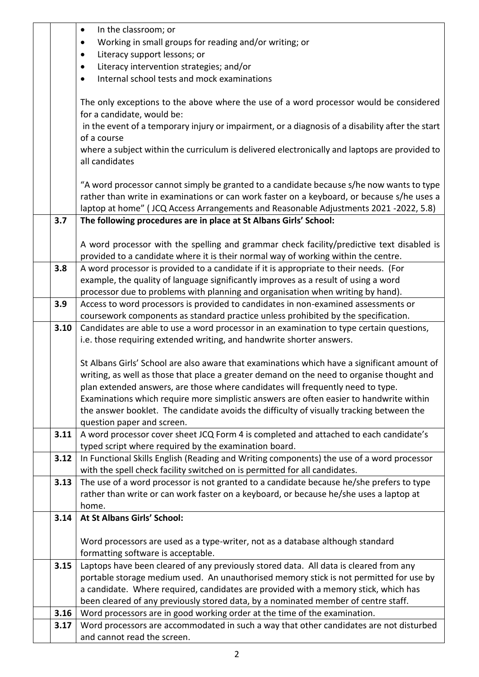|      | In the classroom; or<br>$\bullet$                                                                                                                                            |
|------|------------------------------------------------------------------------------------------------------------------------------------------------------------------------------|
|      | Working in small groups for reading and/or writing; or<br>$\bullet$                                                                                                          |
|      | Literacy support lessons; or                                                                                                                                                 |
|      | Literacy intervention strategies; and/or<br>٠                                                                                                                                |
|      | Internal school tests and mock examinations                                                                                                                                  |
|      |                                                                                                                                                                              |
|      | The only exceptions to the above where the use of a word processor would be considered                                                                                       |
|      | for a candidate, would be:                                                                                                                                                   |
|      | in the event of a temporary injury or impairment, or a diagnosis of a disability after the start                                                                             |
|      | of a course                                                                                                                                                                  |
|      | where a subject within the curriculum is delivered electronically and laptops are provided to                                                                                |
|      | all candidates                                                                                                                                                               |
|      | "A word processor cannot simply be granted to a candidate because s/he now wants to type                                                                                     |
|      | rather than write in examinations or can work faster on a keyboard, or because s/he uses a                                                                                   |
|      | laptop at home" (JCQ Access Arrangements and Reasonable Adjustments 2021 -2022, 5.8)                                                                                         |
| 3.7  | The following procedures are in place at St Albans Girls' School:                                                                                                            |
|      |                                                                                                                                                                              |
|      | A word processor with the spelling and grammar check facility/predictive text disabled is                                                                                    |
|      | provided to a candidate where it is their normal way of working within the centre.                                                                                           |
| 3.8  | A word processor is provided to a candidate if it is appropriate to their needs. (For                                                                                        |
|      | example, the quality of language significantly improves as a result of using a word                                                                                          |
|      | processor due to problems with planning and organisation when writing by hand).                                                                                              |
| 3.9  | Access to word processors is provided to candidates in non-examined assessments or                                                                                           |
|      | coursework components as standard practice unless prohibited by the specification.                                                                                           |
| 3.10 | Candidates are able to use a word processor in an examination to type certain questions,                                                                                     |
|      | i.e. those requiring extended writing, and handwrite shorter answers.                                                                                                        |
|      |                                                                                                                                                                              |
|      | St Albans Girls' School are also aware that examinations which have a significant amount of                                                                                  |
|      | writing, as well as those that place a greater demand on the need to organise thought and<br>plan extended answers, are those where candidates will frequently need to type. |
|      | Examinations which require more simplistic answers are often easier to handwrite within                                                                                      |
|      | the answer booklet. The candidate avoids the difficulty of visually tracking between the                                                                                     |
|      | question paper and screen.                                                                                                                                                   |
| 3.11 | A word processor cover sheet JCQ Form 4 is completed and attached to each candidate's                                                                                        |
|      | typed script where required by the examination board.                                                                                                                        |
| 3.12 | In Functional Skills English (Reading and Writing components) the use of a word processor                                                                                    |
|      | with the spell check facility switched on is permitted for all candidates.                                                                                                   |
| 3.13 | The use of a word processor is not granted to a candidate because he/she prefers to type                                                                                     |
|      | rather than write or can work faster on a keyboard, or because he/she uses a laptop at                                                                                       |
|      | home.                                                                                                                                                                        |
| 3.14 | At St Albans Girls' School:                                                                                                                                                  |
|      |                                                                                                                                                                              |
|      | Word processors are used as a type-writer, not as a database although standard                                                                                               |
|      | formatting software is acceptable.                                                                                                                                           |
| 3.15 | Laptops have been cleared of any previously stored data. All data is cleared from any                                                                                        |
|      | portable storage medium used. An unauthorised memory stick is not permitted for use by                                                                                       |
|      | a candidate. Where required, candidates are provided with a memory stick, which has                                                                                          |
|      | been cleared of any previously stored data, by a nominated member of centre staff.                                                                                           |
| 3.16 | Word processors are in good working order at the time of the examination.                                                                                                    |
| 3.17 | Word processors are accommodated in such a way that other candidates are not disturbed                                                                                       |
|      | and cannot read the screen.                                                                                                                                                  |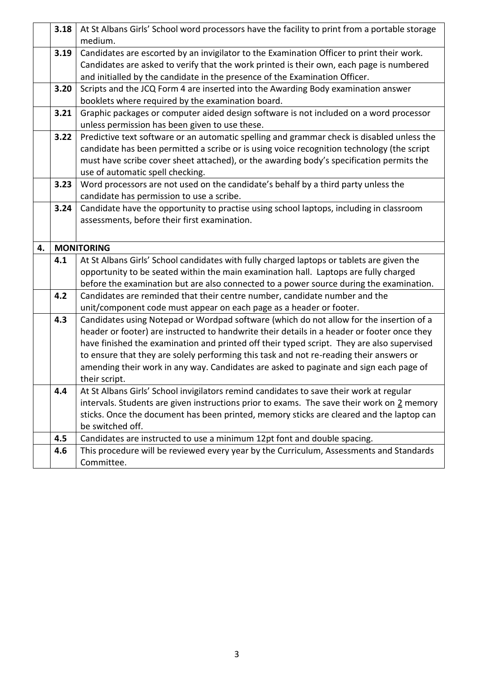|    | 3.18 | At St Albans Girls' School word processors have the facility to print from a portable storage         |
|----|------|-------------------------------------------------------------------------------------------------------|
|    |      | medium.                                                                                               |
|    | 3.19 | Candidates are escorted by an invigilator to the Examination Officer to print their work.             |
|    |      | Candidates are asked to verify that the work printed is their own, each page is numbered              |
|    |      | and initialled by the candidate in the presence of the Examination Officer.                           |
|    | 3.20 | Scripts and the JCQ Form 4 are inserted into the Awarding Body examination answer                     |
|    |      | booklets where required by the examination board.                                                     |
|    | 3.21 | Graphic packages or computer aided design software is not included on a word processor                |
|    |      | unless permission has been given to use these.                                                        |
|    | 3.22 | Predictive text software or an automatic spelling and grammar check is disabled unless the            |
|    |      | candidate has been permitted a scribe or is using voice recognition technology (the script            |
|    |      | must have scribe cover sheet attached), or the awarding body's specification permits the              |
|    |      | use of automatic spell checking.                                                                      |
|    | 3.23 | Word processors are not used on the candidate's behalf by a third party unless the                    |
|    |      | candidate has permission to use a scribe.                                                             |
|    | 3.24 | Candidate have the opportunity to practise using school laptops, including in classroom               |
|    |      | assessments, before their first examination.                                                          |
|    |      |                                                                                                       |
| 4. |      | <b>MONITORING</b>                                                                                     |
|    | 4.1  | At St Albans Girls' School candidates with fully charged laptops or tablets are given the             |
|    |      | opportunity to be seated within the main examination hall. Laptops are fully charged                  |
|    |      | before the examination but are also connected to a power source during the examination.               |
|    | 4.2  | Candidates are reminded that their centre number, candidate number and the                            |
|    |      | unit/component code must appear on each page as a header or footer.                                   |
|    | 4.3  |                                                                                                       |
|    |      | Candidates using Notepad or Wordpad software (which do not allow for the insertion of a               |
|    |      | header or footer) are instructed to handwrite their details in a header or footer once they           |
|    |      | have finished the examination and printed off their typed script. They are also supervised            |
|    |      | to ensure that they are solely performing this task and not re-reading their answers or               |
|    |      | amending their work in any way. Candidates are asked to paginate and sign each page of                |
|    |      | their script.                                                                                         |
|    | 4.4  | At St Albans Girls' School invigilators remind candidates to save their work at regular               |
|    |      | intervals. Students are given instructions prior to exams. The save their work on 2 memory            |
|    |      | sticks. Once the document has been printed, memory sticks are cleared and the laptop can              |
|    |      | be switched off.                                                                                      |
|    | 4.5  | Candidates are instructed to use a minimum 12pt font and double spacing.                              |
|    | 4.6  | This procedure will be reviewed every year by the Curriculum, Assessments and Standards<br>Committee. |